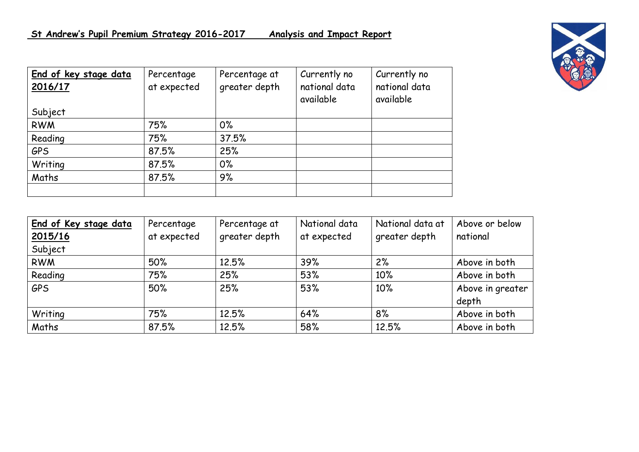| End of key stage data<br>2016/17 | Percentage<br>at expected | Percentage at<br>greater depth | Currently no<br>national data<br>available | Currently no<br>national data<br>available |
|----------------------------------|---------------------------|--------------------------------|--------------------------------------------|--------------------------------------------|
| Subject                          |                           |                                |                                            |                                            |
| <b>RWM</b>                       | 75%                       | $0\%$                          |                                            |                                            |
| Reading                          | 75%                       | 37.5%                          |                                            |                                            |
| <b>GPS</b>                       | 87.5%                     | 25%                            |                                            |                                            |
| Writing                          | 87.5%                     | $0\%$                          |                                            |                                            |
| Maths                            | 87.5%                     | 9%                             |                                            |                                            |
|                                  |                           |                                |                                            |                                            |

| End of Key stage data | Percentage  | Percentage at | National data | National data at | Above or below   |
|-----------------------|-------------|---------------|---------------|------------------|------------------|
| 2015/16               | at expected | greater depth | at expected   | greater depth    | national         |
| Subject               |             |               |               |                  |                  |
| <b>RWM</b>            | 50%         | 12.5%         | 39%           | 2%               | Above in both    |
| Reading               | 75%         | 25%           | 53%           | 10%              | Above in both    |
| <b>GPS</b>            | 50%         | 25%           | 53%           | 10%              | Above in greater |
|                       |             |               |               |                  | depth            |
| Writing               | 75%         | 12.5%         | 64%           | 8%               | Above in both    |
| Maths                 | 87.5%       | 12.5%         | 58%           | 12.5%            | Above in both    |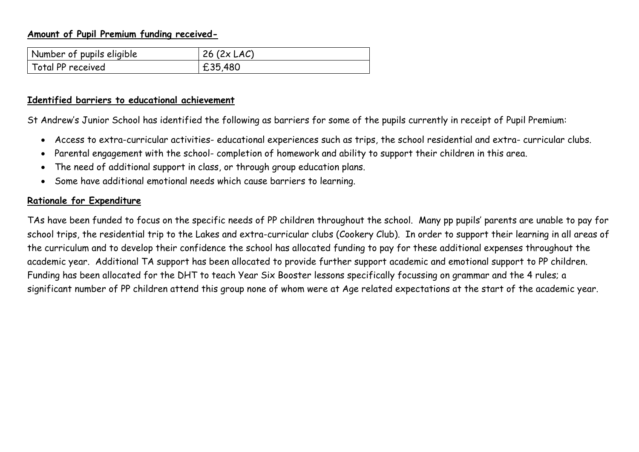### **Amount of Pupil Premium funding received-**

| Number of pupils eligible | $26(2 \times LAC)$ |
|---------------------------|--------------------|
| Total PP received         | £35,480            |

#### **Identified barriers to educational achievement**

St Andrew's Junior School has identified the following as barriers for some of the pupils currently in receipt of Pupil Premium:

- Access to extra-curricular activities- educational experiences such as trips, the school residential and extra- curricular clubs.
- Parental engagement with the school- completion of homework and ability to support their children in this area.
- The need of additional support in class, or through group education plans.
- Some have additional emotional needs which cause barriers to learning.

#### **Rationale for Expenditure**

TAs have been funded to focus on the specific needs of PP children throughout the school. Many pp pupils' parents are unable to pay for school trips, the residential trip to the Lakes and extra-curricular clubs (Cookery Club). In order to support their learning in all areas of the curriculum and to develop their confidence the school has allocated funding to pay for these additional expenses throughout the academic year. Additional TA support has been allocated to provide further support academic and emotional support to PP children. Funding has been allocated for the DHT to teach Year Six Booster lessons specifically focussing on grammar and the 4 rules; a significant number of PP children attend this group none of whom were at Age related expectations at the start of the academic year.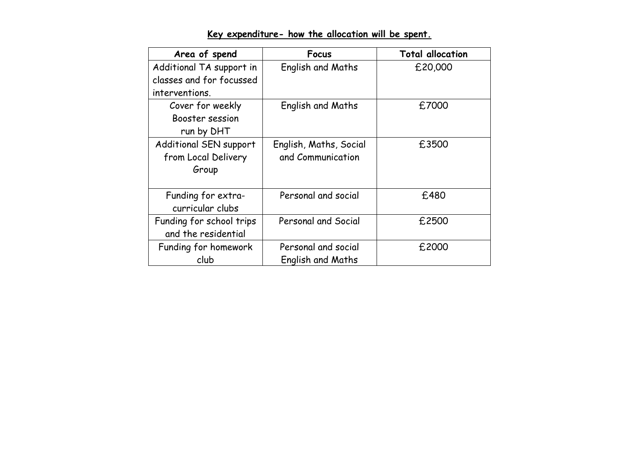| Area of spend            | Focus                    | <b>Total allocation</b> |
|--------------------------|--------------------------|-------------------------|
| Additional TA support in | English and Maths        | £20,000                 |
| classes and for focussed |                          |                         |
| interventions.           |                          |                         |
| Cover for weekly         | English and Maths        | £7000                   |
| Booster session          |                          |                         |
| run by DHT               |                          |                         |
| Additional SEN support   | English, Maths, Social   | £3500                   |
| from Local Delivery      | and Communication        |                         |
| Group                    |                          |                         |
|                          |                          |                         |
| Funding for extra-       | Personal and social      | £480                    |
| curricular clubs         |                          |                         |
| Funding for school trips | Personal and Social      | £2500                   |
| and the residential      |                          |                         |
| Funding for homework     | Personal and social      | £2000                   |
| club                     | <b>English and Maths</b> |                         |

# **Key expenditure- how the allocation will be spent.**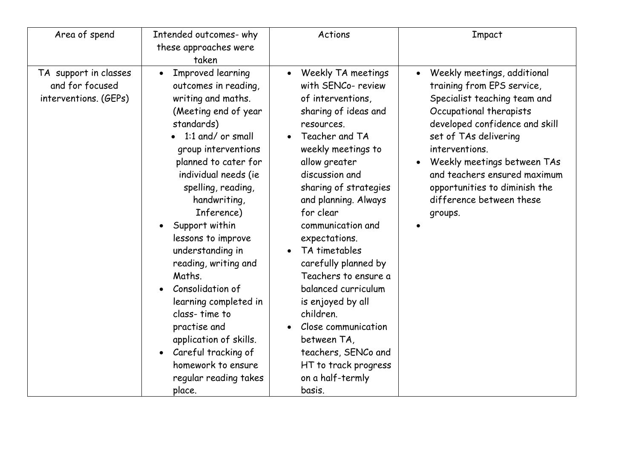| Area of spend                                                     | Intended outcomes-why<br>these approaches were<br>taken                                                                                                                                                                                                                                                                                                                                                                                                                                                                                                  | Actions                                                                                                                                                                                                                                                                                                                                                                                                                                                                                                                                                     | Impact                                                                                                                                                                                                                                                                                                                                                             |
|-------------------------------------------------------------------|----------------------------------------------------------------------------------------------------------------------------------------------------------------------------------------------------------------------------------------------------------------------------------------------------------------------------------------------------------------------------------------------------------------------------------------------------------------------------------------------------------------------------------------------------------|-------------------------------------------------------------------------------------------------------------------------------------------------------------------------------------------------------------------------------------------------------------------------------------------------------------------------------------------------------------------------------------------------------------------------------------------------------------------------------------------------------------------------------------------------------------|--------------------------------------------------------------------------------------------------------------------------------------------------------------------------------------------------------------------------------------------------------------------------------------------------------------------------------------------------------------------|
| TA support in classes<br>and for focused<br>interventions. (GEPs) | Improved learning<br>$\bullet$<br>outcomes in reading,<br>writing and maths.<br>(Meeting end of year<br>standards)<br>1:1 and/ or small<br>group interventions<br>planned to cater for<br>individual needs (ie<br>spelling, reading,<br>handwriting,<br>Inference)<br>Support within<br>lessons to improve<br>understanding in<br>reading, writing and<br>Maths.<br>Consolidation of<br>learning completed in<br>class-time to<br>practise and<br>application of skills.<br>Careful tracking of<br>homework to ensure<br>regular reading takes<br>place. | • Weekly TA meetings<br>with SENCo- review<br>of interventions,<br>sharing of ideas and<br>resources.<br>Teacher and TA<br>weekly meetings to<br>allow greater<br>discussion and<br>sharing of strategies<br>and planning. Always<br>for clear<br>communication and<br>expectations.<br>TA timetables<br>$\bullet$<br>carefully planned by<br>Teachers to ensure a<br>balanced curriculum<br>is enjoyed by all<br>children.<br>Close communication<br>$\bullet$<br>between TA,<br>teachers, SENCo and<br>HT to track progress<br>on a half-termly<br>basis. | Weekly meetings, additional<br>$\bullet$<br>training from EPS service,<br>Specialist teaching team and<br>Occupational therapists<br>developed confidence and skill<br>set of TAs delivering<br>interventions.<br>Weekly meetings between TAs<br>$\bullet$<br>and teachers ensured maximum<br>opportunities to diminish the<br>difference between these<br>groups. |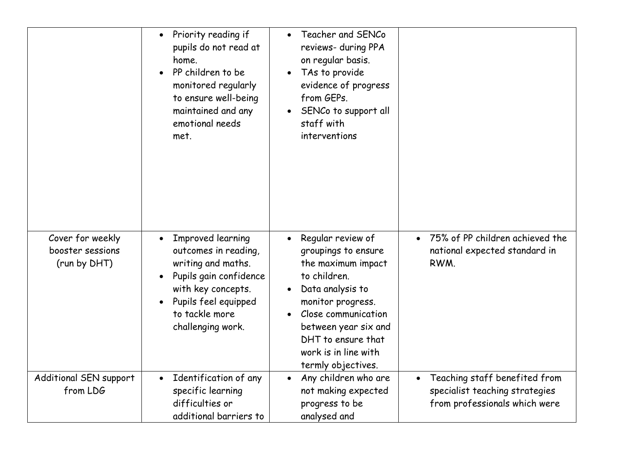|                                                      | Priority reading if<br>$\bullet$<br>pupils do not read at<br>home.<br>PP children to be<br>monitored regularly<br>to ensure well-being<br>maintained and any<br>emotional needs<br>met. | Teacher and SENCo<br>reviews- during PPA<br>on regular basis.<br>TAs to provide<br>evidence of progress<br>from GEPs.<br>SENCo to support all<br>staff with<br>interventions                                                               |                                                                                                  |
|------------------------------------------------------|-----------------------------------------------------------------------------------------------------------------------------------------------------------------------------------------|--------------------------------------------------------------------------------------------------------------------------------------------------------------------------------------------------------------------------------------------|--------------------------------------------------------------------------------------------------|
| Cover for weekly<br>booster sessions<br>(run by DHT) | Improved learning<br>outcomes in reading,<br>writing and maths.<br>Pupils gain confidence<br>with key concepts.<br>Pupils feel equipped<br>to tackle more<br>challenging work.          | Regular review of<br>groupings to ensure<br>the maximum impact<br>to children.<br>Data analysis to<br>monitor progress.<br>Close communication<br>between year six and<br>DHT to ensure that<br>work is in line with<br>termly objectives. | 75% of PP children achieved the<br>national expected standard in<br>RWM.                         |
| Additional SEN support<br>from LDG                   | Identification of any<br>$\bullet$<br>specific learning<br>difficulties or<br>additional barriers to                                                                                    | Any children who are<br>$\bullet$<br>not making expected<br>progress to be<br>analysed and                                                                                                                                                 | Teaching staff benefited from<br>specialist teaching strategies<br>from professionals which were |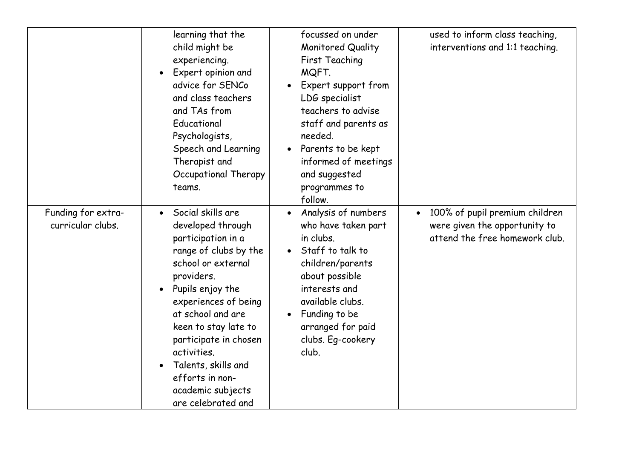|                                         | learning that the<br>child might be<br>experiencing.<br>Expert opinion and<br>$\bullet$<br>advice for SENCo<br>and class teachers<br>and TAs from<br>Educational<br>Psychologists,<br>Speech and Learning<br>Therapist and<br>Occupational Therapy<br>teams.                                                                                                              | focussed on under<br>Monitored Quality<br>First Teaching<br>MQFT.<br>Expert support from<br>LDG specialist<br>teachers to advise<br>staff and parents as<br>needed.<br>Parents to be kept<br>informed of meetings<br>and suggested<br>programmes to<br>follow. | used to inform class teaching,<br>interventions and 1:1 teaching.                                              |
|-----------------------------------------|---------------------------------------------------------------------------------------------------------------------------------------------------------------------------------------------------------------------------------------------------------------------------------------------------------------------------------------------------------------------------|----------------------------------------------------------------------------------------------------------------------------------------------------------------------------------------------------------------------------------------------------------------|----------------------------------------------------------------------------------------------------------------|
| Funding for extra-<br>curricular clubs. | Social skills are<br>$\bullet$<br>developed through<br>participation in a<br>range of clubs by the<br>school or external<br>providers.<br>Pupils enjoy the<br>$\bullet$<br>experiences of being<br>at school and are<br>keen to stay late to<br>participate in chosen<br>activities.<br>Talents, skills and<br>efforts in non-<br>academic subjects<br>are celebrated and | Analysis of numbers<br>who have taken part<br>in clubs.<br>Staff to talk to<br>children/parents<br>about possible<br>interests and<br>available clubs.<br>Funding to be<br>arranged for paid<br>clubs. Eg-cookery<br>club.                                     | 100% of pupil premium children<br>$\bullet$<br>were given the opportunity to<br>attend the free homework club. |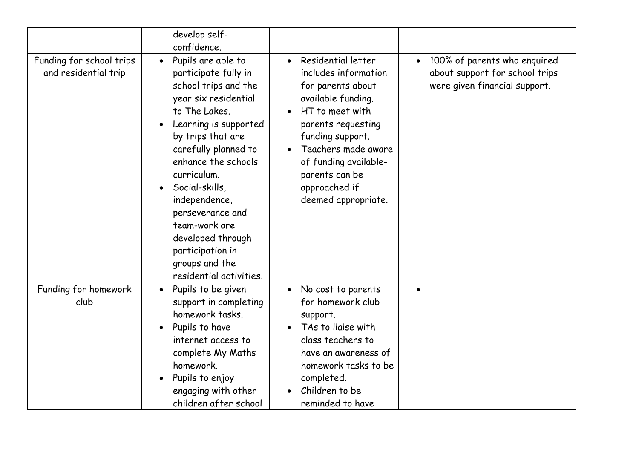|                                                  | develop self-<br>confidence.                                                                                                                                                                                                                                                                                                                                                                       |                                                                                                                                                                                                                                                                |                                                                                                 |
|--------------------------------------------------|----------------------------------------------------------------------------------------------------------------------------------------------------------------------------------------------------------------------------------------------------------------------------------------------------------------------------------------------------------------------------------------------------|----------------------------------------------------------------------------------------------------------------------------------------------------------------------------------------------------------------------------------------------------------------|-------------------------------------------------------------------------------------------------|
| Funding for school trips<br>and residential trip | Pupils are able to<br>participate fully in<br>school trips and the<br>year six residential<br>to The Lakes.<br>Learning is supported<br>by trips that are<br>carefully planned to<br>enhance the schools<br>curriculum.<br>Social-skills,<br>$\bullet$<br>independence,<br>perseverance and<br>team-work are<br>developed through<br>participation in<br>groups and the<br>residential activities. | • Residential letter<br>includes information<br>for parents about<br>available funding.<br>HT to meet with<br>parents requesting<br>funding support.<br>Teachers made aware<br>of funding available-<br>parents can be<br>approached if<br>deemed appropriate. | 100% of parents who enquired<br>about support for school trips<br>were given financial support. |
| Funding for homework<br>club                     | Pupils to be given<br>$\bullet$<br>support in completing<br>homework tasks.<br>Pupils to have<br>$\bullet$<br>internet access to<br>complete My Maths<br>homework.<br>Pupils to enjoy<br>engaging with other<br>children after school                                                                                                                                                              | No cost to parents<br>for homework club<br>support.<br>TAs to liaise with<br>class teachers to<br>have an awareness of<br>homework tasks to be<br>completed.<br>Children to be<br>reminded to have                                                             |                                                                                                 |